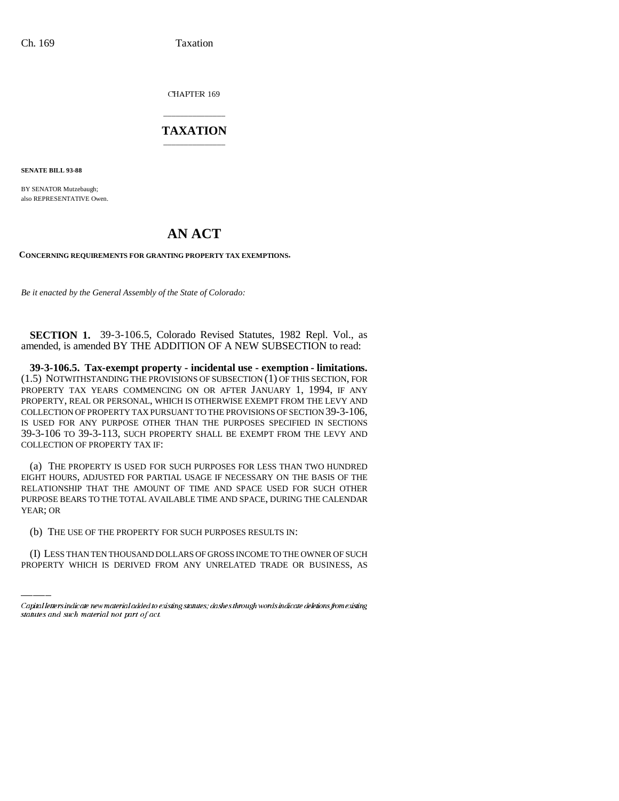**CHAPTER 169** 

## \_\_\_\_\_\_\_\_\_\_\_\_\_\_\_ **TAXATION** \_\_\_\_\_\_\_\_\_\_\_\_\_\_\_

**SENATE BILL 93-88**

BY SENATOR Mutzebaugh; also REPRESENTATIVE Owen.

## **AN ACT**

**CONCERNING REQUIREMENTS FOR GRANTING PROPERTY TAX EXEMPTIONS.**

*Be it enacted by the General Assembly of the State of Colorado:*

**SECTION 1.** 39-3-106.5, Colorado Revised Statutes, 1982 Repl. Vol., as amended, is amended BY THE ADDITION OF A NEW SUBSECTION to read:

**39-3-106.5. Tax-exempt property - incidental use - exemption - limitations.** (1.5) NOTWITHSTANDING THE PROVISIONS OF SUBSECTION (1) OF THIS SECTION, FOR PROPERTY TAX YEARS COMMENCING ON OR AFTER JANUARY 1, 1994, IF ANY PROPERTY, REAL OR PERSONAL, WHICH IS OTHERWISE EXEMPT FROM THE LEVY AND COLLECTION OF PROPERTY TAX PURSUANT TO THE PROVISIONS OF SECTION 39-3-106, IS USED FOR ANY PURPOSE OTHER THAN THE PURPOSES SPECIFIED IN SECTIONS 39-3-106 TO 39-3-113, SUCH PROPERTY SHALL BE EXEMPT FROM THE LEVY AND COLLECTION OF PROPERTY TAX IF:

 (a) THE PROPERTY IS USED FOR SUCH PURPOSES FOR LESS THAN TWO HUNDRED EIGHT HOURS, ADJUSTED FOR PARTIAL USAGE IF NECESSARY ON THE BASIS OF THE RELATIONSHIP THAT THE AMOUNT OF TIME AND SPACE USED FOR SUCH OTHER PURPOSE BEARS TO THE TOTAL AVAILABLE TIME AND SPACE, DURING THE CALENDAR YEAR; OR

(b) THE USE OF THE PROPERTY FOR SUCH PURPOSES RESULTS IN:

(I) LESS THAN TEN THOUSAND DOLLARS OF GROSS INCOME TO THE OWNER OF SUCH PROPERTY WHICH IS DERIVED FROM ANY UNRELATED TRADE OR BUSINESS, AS

Capital letters indicate new material added to existing statutes; dashes through words indicate deletions from existing statutes and such material not part of act.